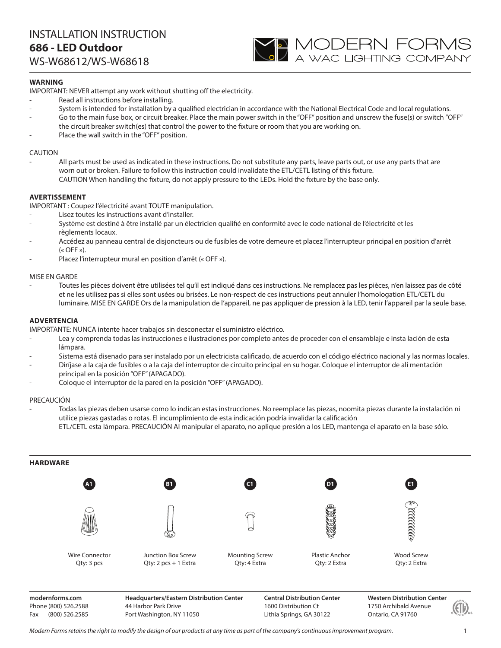WS-W68612/WS-W68618



### **WARNING**

IMPORTANT: NEVER attempt any work without shutting off the electricity.

- Read all instructions before installing.
- System is intended for installation by a qualified electrician in accordance with the National Electrical Code and local regulations.
- Go to the main fuse box, or circuit breaker. Place the main power switch in the "OFF" position and unscrew the fuse(s) or switch "OFF" the circuit breaker switch(es) that control the power to the fixture or room that you are working on.
- Place the wall switch in the "OFF" position.

### CAUTION

All parts must be used as indicated in these instructions. Do not substitute any parts, leave parts out, or use any parts that are worn out or broken. Failure to follow this instruction could invalidate the ETL/CETL listing of this fixture. CAUTION When handling the fixture, do not apply pressure to the LEDs. Hold the fixture by the base only.

### **AVERTISSEMENT**

IMPORTANT : Coupez l'électricité avant TOUTE manipulation.

- Lisez toutes les instructions avant d'installer.
- Système est destiné à être installé par un électricien qualifié en conformité avec le code national de l'électricité et les règlements locaux.
- Accédez au panneau central de disjoncteurs ou de fusibles de votre demeure et placez l'interrupteur principal en position d'arrêt  $(\kappa$  OFF »).
- Placez l'interrupteur mural en position d'arrêt (« OFF »).

### MISE EN GARDE

- Toutes les pièces doivent être utilisées tel qu'il est indiqué dans ces instructions. Ne remplacez pas les pièces, n'en laissez pas de côté et ne les utilisez pas si elles sont usées ou brisées. Le non-respect de ces instructions peut annuler l'homologation ETL/CETL du luminaire. MISE EN GARDE Ors de la manipulation de l'appareil, ne pas appliquer de pression à la LED, tenir l'appareil par la seule base.

### **ADVERTENCIA**

IMPORTANTE: NUNCA intente hacer trabajos sin desconectar el suministro eléctrico.

- Lea y comprenda todas las instrucciones e ilustraciones por completo antes de proceder con el ensamblaje e insta lación de esta lámpara.
- Sistema está disenado para ser instalado por un electricista calificado, de acuerdo con el código eléctrico nacional y las normas locales.
- Diríjase a la caja de fusibles o a la caja del interruptor de circuito principal en su hogar. Coloque el interruptor de ali mentación principal en la posición "OFF" (APAGADO).
- Coloque el interruptor de la pared en la posición "OFF" (APAGADO).

#### PRECAUCIÓN

- Todas las piezas deben usarse como lo indican estas instrucciones. No reemplace las piezas, noomita piezas durante la instalación ni utilice piezas gastadas o rotas. El incumplimiento de esta indicación podría invalidar la calificación ETL/CETL esta lámpara. PRECAUCIÓN Al manipular el aparato, no aplique presión a los LED, mantenga el aparato en la base sólo.



**modernforms.com** Phone (800) 526.2588 Fax (800) 526.2585

**Headquarters/Eastern Distribution Center** 44 Harbor Park Drive Port Washington, NY 11050

**Central Distribution Center** 1600 Distribution Ct Lithia Springs, GA 30122

**Western Distribution Center**  1750 Archibald Avenue Ontario, CA 91760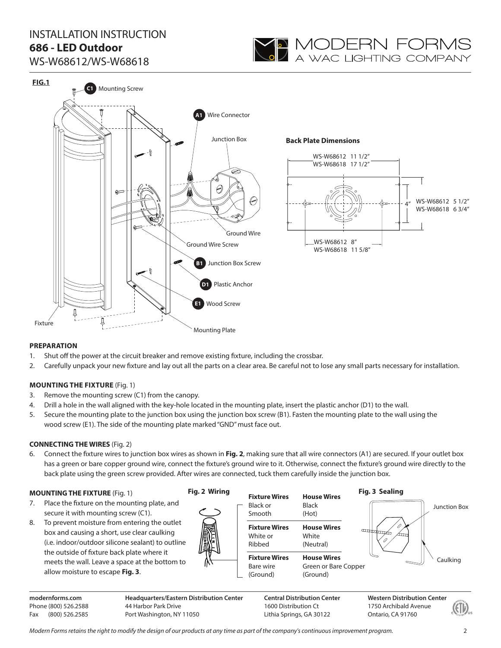

WS-W68612/WS-W68618



### **PREPARATION**

- 1. Shut off the power at the circuit breaker and remove existing fixture, including the crossbar.
- 2. Carefully unpack your new fixture and lay out all the parts on a clear area. Be careful not to lose any small parts necessary for installation.

### **MOUNTING THE FIXTURE** (Fig. 1)

- 3. Remove the mounting screw (C1) from the canopy.
- 4. Drill a hole in the wall aligned with the key-hole located in the mounting plate, insert the plastic anchor (D1) to the wall.
- 5. Secure the mounting plate to the junction box using the junction box screw (B1). Fasten the mounting plate to the wall using the wood screw (E1). The side of the mounting plate marked "GND" must face out.

### **CONNECTING THE WIRES** (Fig. 2)

6. Connect the fixture wires to junction box wires as shown in **Fig. 2**, making sure that all wire connectors (A1) are secured. If your outlet box has a green or bare copper ground wire, connect the fixture's ground wire to it. Otherwise, connect the fixture's ground wire directly to the back plate using the green screw provided. After wires are connected, tuck them carefully inside the junction box.

### **MOUNTING THE FIXTURE** (Fig. 1)

**modernforms.com** Phone (800) 526.2588 Fax (800) 526.2585

- 7. Place the fixture on the mounting plate, and secure it with mounting screw (C1).
- 8. To prevent moisture from entering the outlet box and causing a short, use clear caulking (i.e. indoor/outdoor silicone sealant) to outline the outside of fixture back plate where it meets the wall. Leave a space at the bottom to allow moisture to escape **Fig. 3**.



### **Fig. 2 Wiring**



**Central Distribution Center** 1600 Distribution Ct Lithia Springs, GA 30122



**Western Distribution Center**  1750 Archibald Avenue Ontario, CA 91760

*Modern Forms retains the right to modify the design of our products at any time as part of the company's continuous improvement program.* 2

**Headquarters/Eastern Distribution Center**

44 Harbor Park Drive Port Washington, NY 11050 Caulking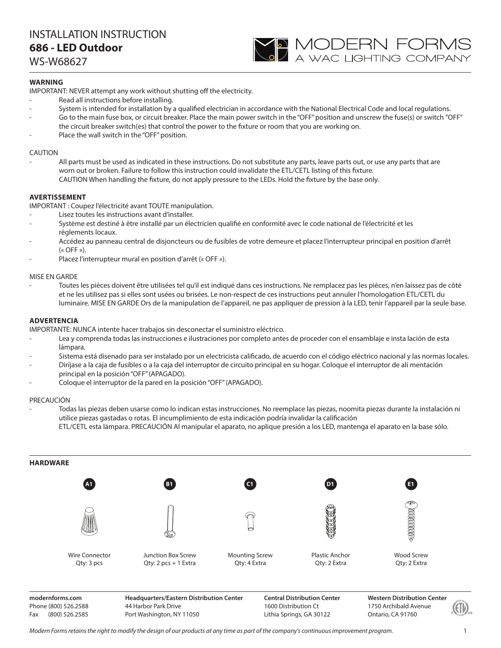WS-W68627

### **WARNING**

IMPORTANT: NEVER attempt any work without shutting off the electricity.

- Read all instructions before installing.
- System is intended for installation by a qualified electrician in accordance with the National Electrical Code and local regulations.

**YO MODERN FORMS**<br>A wac lighting company

- Go to the main fuse box, or circuit breaker. Place the main power switch in the "OFF" position and unscrew the fuse(s) or switch "OFF" the circuit breaker switch(es) that control the power to the fixture or room that you are working on.
- Place the wall switch in the "OFF" position.

### CAUTION

All parts must be used as indicated in these instructions. Do not substitute any parts, leave parts out, or use any parts that are worn out or broken. Failure to follow this instruction could invalidate the ETL/CETL listing of this fixture. CAUTION When handling the fixture, do not apply pressure to the LEDs. Hold the fixture by the base only.

### **AVERTISSEMENT**

IMPORTANT : Coupez l'électricité avant TOUTE manipulation.

- Lisez toutes les instructions avant d'installer.
- Système est destiné à être installé par un électricien qualifié en conformité avec le code national de l'électricité et les règlements locaux.
- Accédez au panneau central de disjoncteurs ou de fusibles de votre demeure et placez l'interrupteur principal en position d'arrêt  $(\kappa$  OFF »).
- Placez l'interrupteur mural en position d'arrêt (« OFF »).

### MISE EN GARDE

- Toutes les pièces doivent être utilisées tel qu'il est indiqué dans ces instructions. Ne remplacez pas les pièces, n'en laissez pas de côté et ne les utilisez pas si elles sont usées ou brisées. Le non-respect de ces instructions peut annuler l'homologation ETL/CETL du luminaire. MISE EN GARDE Ors de la manipulation de l'appareil, ne pas appliquer de pression à la LED, tenir l'appareil par la seule base.

### **ADVERTENCIA**

IMPORTANTE: NUNCA intente hacer trabajos sin desconectar el suministro eléctrico.

- Lea y comprenda todas las instrucciones e ilustraciones por completo antes de proceder con el ensamblaje e insta lación de esta lámpara.
- Sistema está disenado para ser instalado por un electricista calificado, de acuerdo con el código eléctrico nacional y las normas locales.
- Diríjase a la caja de fusibles o a la caja del interruptor de circuito principal en su hogar. Coloque el interruptor de ali mentación principal en la posición "OFF" (APAGADO).
- Coloque el interruptor de la pared en la posición "OFF" (APAGADO).

#### PRECAUCIÓN

- Todas las piezas deben usarse como lo indican estas instrucciones. No reemplace las piezas, noomita piezas durante la instalación ni utilice piezas gastadas o rotas. El incumplimiento de esta indicación podría invalidar la calificación ETL/CETL esta lámpara. PRECAUCIÓN Al manipular el aparato, no aplique presión a los LED, mantenga el aparato en la base sólo.



**modernforms.com** Phone (800) 526.2588 Fax (800) 526.2585

**Headquarters/Eastern Distribution Center** 44 Harbor Park Drive Port Washington, NY 11050

**Central Distribution Center** 1600 Distribution Ct Lithia Springs, GA 30122

**Western Distribution Center**  1750 Archibald Avenue Ontario, CA 91760

*Modern Forms retains the right to modify the design of our products at any time as part of the company's continuous improvement program.* 1